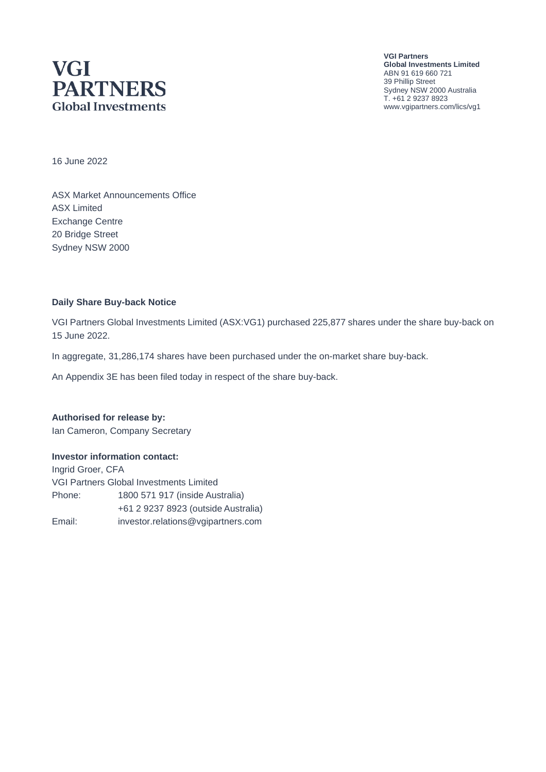## **VGI PARTNERS Global Investments**

**VGI Partners Global Investments Limited** ABN 91 619 660 721 39 Phillip Street Sydney NSW 2000 Australia T. +61 2 9237 8923 www.vgipartners.com/lics/vg1

16 June 2022

ASX Market Announcements Office ASX Limited Exchange Centre 20 Bridge Street Sydney NSW 2000

#### **Daily Share Buy-back Notice**

VGI Partners Global Investments Limited (ASX:VG1) purchased 225,877 shares under the share buy-back on 15 June 2022.

In aggregate, 31,286,174 shares have been purchased under the on-market share buy-back.

An Appendix 3E has been filed today in respect of the share buy-back.

**Authorised for release by:** Ian Cameron, Company Secretary

#### **Investor information contact:**

Ingrid Groer, CFA VGI Partners Global Investments Limited Phone: 1800 571 917 (inside Australia) +61 2 9237 8923 (outside Australia) Email: investor.relations@vgipartners.com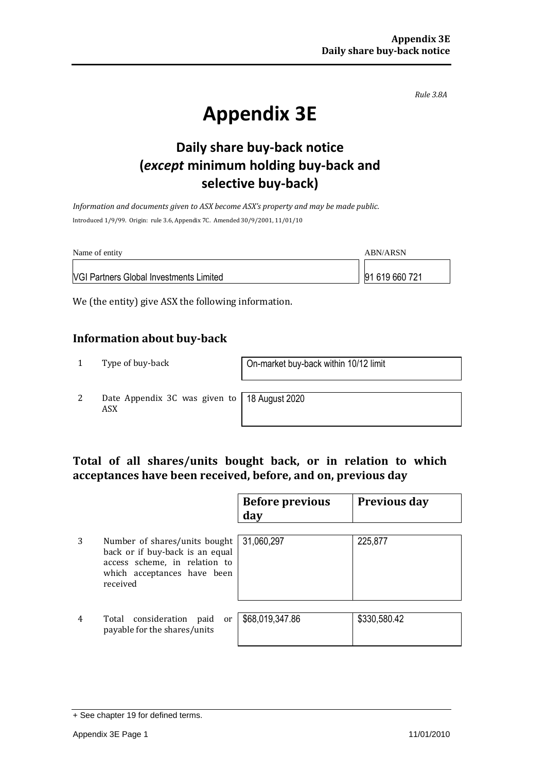*Rule 3.8A*

# **Appendix 3E**

## **Daily share buy-back notice (***except* **minimum holding buy-back and selective buy-back)**

*Information and documents given to ASX become ASX's property and may be made public.* Introduced 1/9/99. Origin: rule 3.6, Appendix 7C. Amended 30/9/2001, 11/01/10

| Name of entity                                 | ABN/ARSN       |
|------------------------------------------------|----------------|
| <b>VGI Partners Global Investments Limited</b> | 91 619 660 721 |

We (the entity) give ASX the following information.

#### **Information about buy-back**

1 Type of buy-back On-market buy-back within 10/12 limit

2 Date Appendix 3C was given to ASX

18 August 2020

#### **Total of all shares/units bought back, or in relation to which acceptances have been received, before, and on, previous day**

|   |                                                                                                                                              | <b>Before previous</b><br>day | <b>Previous day</b> |
|---|----------------------------------------------------------------------------------------------------------------------------------------------|-------------------------------|---------------------|
| 3 | Number of shares/units bought<br>back or if buy-back is an equal<br>access scheme, in relation to<br>which acceptances have been<br>received | 31,060,297                    | 225,877             |
| 4 | Total consideration<br>paid<br>or<br>payable for the shares/units                                                                            | \$68,019,347.86               | \$330,580.42        |

<sup>+</sup> See chapter 19 for defined terms.